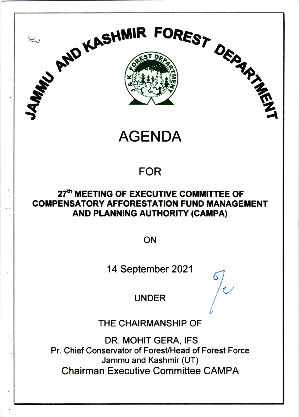

**AGENDA** 

## **FOR**

### 27<sup>th</sup> MEETING OF EXECUTIVE COMMITTEE OF **COMPENSATORY AFFORESTATION FUND MANAGEMENT** AND PLANNING AUTHORITY (CAMPA)

ON

14 September 2021

**UNDER** 

THE CHAIRMANSHIP OF

DR. MOHIT GERA, IFS Pr. Chief Conservator of Forest/Head of Forest Force Jammu and Kashmir (UT) **Chairman Executive Committee CAMPA**